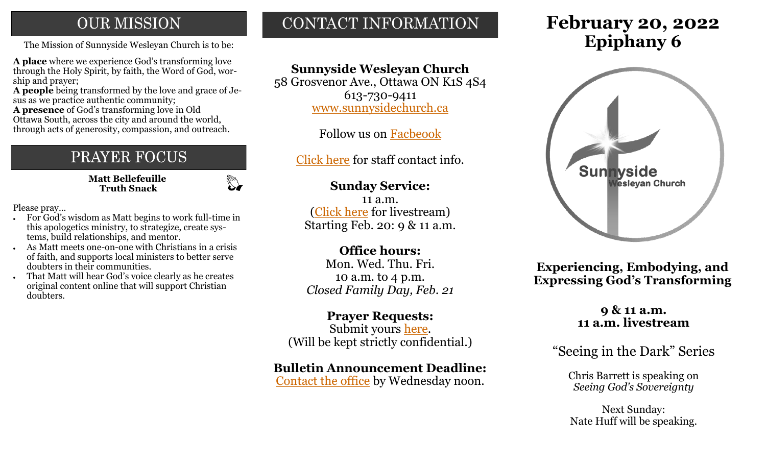# **OUR MISSION**

The Mission of Sunnyside Wesleyan Church is to be: **Epiphany 6** 

**A place** where we experience God's transforming love through the Holy Spirit, by faith, the Word of God, worship and prayer;

**A people** being transformed by the love and grace of Jesus as we practice authentic community;

**A presence** of God's transforming love in Old Ottawa South, across the city and around the world, through acts of generosity, compassion, and outreach.

# PRAYER FOCUS

 **Matt Bellefeuille Truth Snack**

 $\mathbb{Z}$ 

Please pray...

- For God's wisdom as Matt begins to work full-time in this apologetics ministry, to strategize, create systems, build relationships, and mentor.
- As Matt meets one-on-one with Christians in a crisis of faith, and supports local ministers to better serve doubters in their communities.
- That Matt will hear God's voice clearly as he creates original content online that will support Christian doubters.

# CONTACT INFORMATION

# **Sunnyside Wesleyan Church**

58 Grosvenor Ave., Ottawa ON K1S 4S4 613-730-9411 [www.sunnysidechurch.ca](http://www.sunnysidechurch.ca)

Follow us on [Facbeook](http://www.facebook.com/sunnysidewesleyanchurch)

[Click here](http://www.sunnysidechurch.ca/about-sunnyside/staff/) for staff contact info.

### **Sunday Service:**

11 a.m. [\(Click here](https://youtube.com/channel/UCYfl9Qy37Az7fqqFQpDEwjg) for livestream) Starting Feb. 20: 9 & 11 a.m.

## **Office hours:**

Mon. Wed. Thu. Fri. 10 a.m. to 4 p.m. *Closed Family Day, Feb. 21*

# **Prayer Requests:**

Submit yours [here.](mailto:prayer@sunnysidechurch.ca) (Will be kept strictly confidential.)

### **Bulletin Announcement Deadline:**

[Contact the office](mailto:office@sunnysidechurch.ca) by Wednesday noon.

# **February 20, 2022**



**Experiencing, Embodying, and Expressing God's Transforming** 

### **9 & 11 a.m. 11 a.m. livestream**

"Seeing in the Dark" Series

Chris Barrett is speaking on *Seeing God's Sovereignty*

Next Sunday: Nate Huff will be speaking.